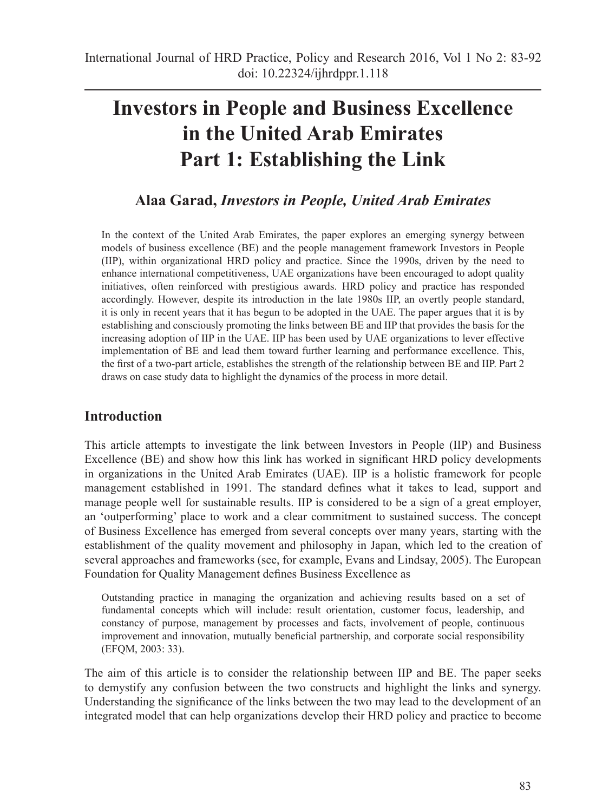# **Investors in People and Business Excellence in the United Arab Emirates Part 1: Establishing the Link**

# **Alaa Garad,** *Investors in People, United Arab Emirates*

In the context of the United Arab Emirates, the paper explores an emerging synergy between models of business excellence (BE) and the people management framework Investors in People (IIP), within organizational HRD policy and practice. Since the 1990s, driven by the need to enhance international competitiveness, UAE organizations have been encouraged to adopt quality initiatives, often reinforced with prestigious awards. HRD policy and practice has responded accordingly. However, despite its introduction in the late 1980s IIP, an overtly people standard, it is only in recent years that it has begun to be adopted in the UAE. The paper argues that it is by establishing and consciously promoting the links between BE and IIP that provides the basis for the increasing adoption of IIP in the UAE. IIP has been used by UAE organizations to lever effective implementation of BE and lead them toward further learning and performance excellence. This, the first of a two-part article, establishes the strength of the relationship between BE and IIP. Part 2 draws on case study data to highlight the dynamics of the process in more detail.

## **Introduction**

This article attempts to investigate the link between Investors in People (IIP) and Business Excellence (BE) and show how this link has worked in significant HRD policy developments in organizations in the United Arab Emirates (UAE). IIP is a holistic framework for people management established in 1991. The standard defines what it takes to lead, support and manage people well for sustainable results. IIP is considered to be a sign of a great employer, an 'outperforming' place to work and a clear commitment to sustained success. The concept of Business Excellence has emerged from several concepts over many years, starting with the establishment of the quality movement and philosophy in Japan, which led to the creation of several approaches and frameworks (see, for example, Evans and Lindsay, 2005). The European Foundation for Quality Management defines Business Excellence as

Outstanding practice in managing the organization and achieving results based on a set of fundamental concepts which will include: result orientation, customer focus, leadership, and constancy of purpose, management by processes and facts, involvement of people, continuous improvement and innovation, mutually beneficial partnership, and corporate social responsibility (EFQM, 2003: 33).

The aim of this article is to consider the relationship between IIP and BE. The paper seeks to demystify any confusion between the two constructs and highlight the links and synergy. Understanding the significance of the links between the two may lead to the development of an integrated model that can help organizations develop their HRD policy and practice to become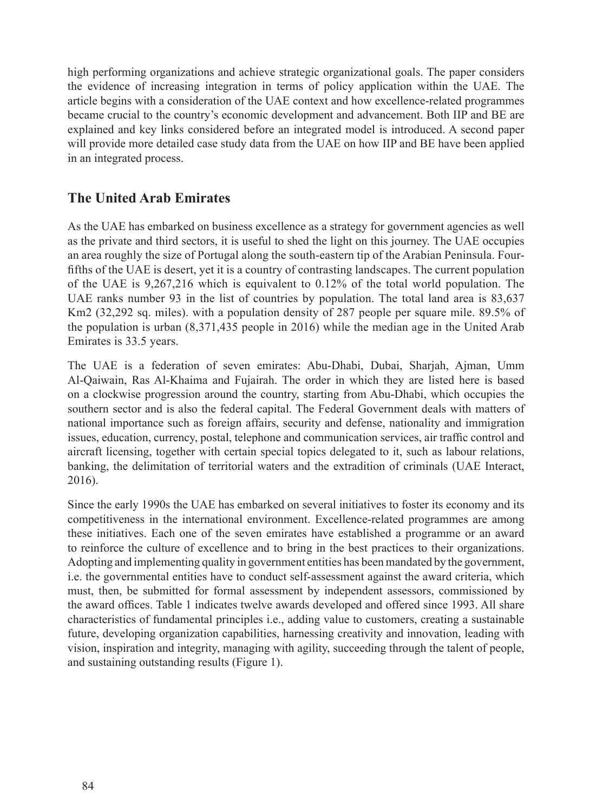high performing organizations and achieve strategic organizational goals. The paper considers the evidence of increasing integration in terms of policy application within the UAE. The article begins with a consideration of the UAE context and how excellence-related programmes became crucial to the country's economic development and advancement. Both IIP and BE are explained and key links considered before an integrated model is introduced. A second paper will provide more detailed case study data from the UAE on how IIP and BE have been applied in an integrated process.

## **The United Arab Emirates**

As the UAE has embarked on business excellence as a strategy for government agencies as well as the private and third sectors, it is useful to shed the light on this journey. The UAE occupies an area roughly the size of Portugal along the south-eastern tip of the Arabian Peninsula. Fourfifths of the UAE is desert, yet it is a country of contrasting landscapes. The current population of the UAE is 9,267,216 which is equivalent to 0.12% of the total world population. The UAE ranks number 93 in the list of countries by population. The total land area is 83,637 Km2 (32,292 sq. miles). with a population density of 287 people per square mile. 89.5% of the population is urban (8,371,435 people in 2016) while the median age in the United Arab Emirates is 33.5 years.

The UAE is a federation of seven emirates: Abu-Dhabi, Dubai, Sharjah, Ajman, Umm Al-Qaiwain, Ras Al-Khaima and Fujairah. The order in which they are listed here is based on a clockwise progression around the country, starting from Abu-Dhabi, which occupies the southern sector and is also the federal capital. The Federal Government deals with matters of national importance such as foreign affairs, security and defense, nationality and immigration issues, education, currency, postal, telephone and communication services, air traffic control and aircraft licensing, together with certain special topics delegated to it, such as labour relations, banking, the delimitation of territorial waters and the extradition of criminals (UAE Interact, 2016).

Since the early 1990s the UAE has embarked on several initiatives to foster its economy and its competitiveness in the international environment. Excellence-related programmes are among these initiatives. Each one of the seven emirates have established a programme or an award to reinforce the culture of excellence and to bring in the best practices to their organizations. Adopting and implementing quality in government entities has been mandated by the government, i.e. the governmental entities have to conduct self-assessment against the award criteria, which must, then, be submitted for formal assessment by independent assessors, commissioned by the award offices. Table 1 indicates twelve awards developed and offered since 1993. All share characteristics of fundamental principles i.e., adding value to customers, creating a sustainable future, developing organization capabilities, harnessing creativity and innovation, leading with vision, inspiration and integrity, managing with agility, succeeding through the talent of people, and sustaining outstanding results (Figure 1).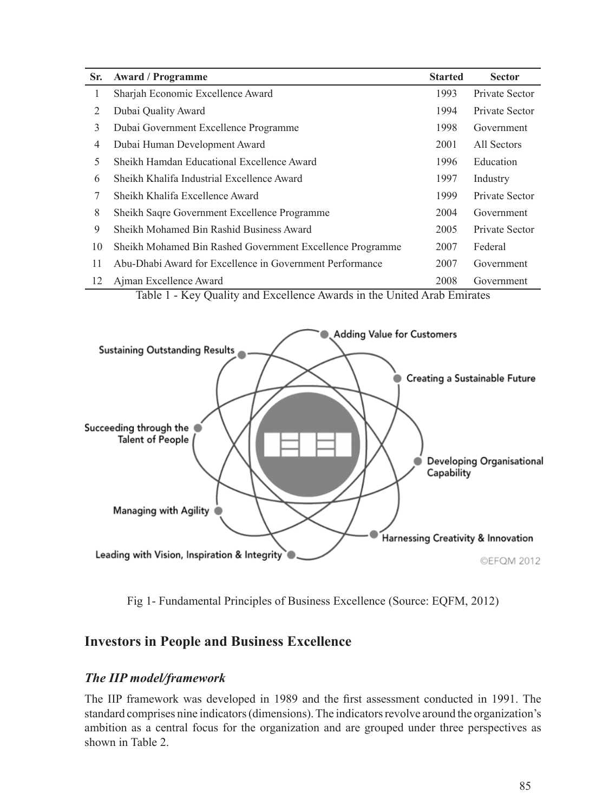| Sr.            | <b>Award / Programme</b>                                  | <b>Started</b> | <b>Sector</b>  |
|----------------|-----------------------------------------------------------|----------------|----------------|
| 1              | Sharjah Economic Excellence Award                         | 1993           | Private Sector |
| 2              | Dubai Quality Award                                       | 1994           | Private Sector |
| 3              | Dubai Government Excellence Programme                     | 1998           | Government     |
| $\overline{4}$ | Dubai Human Development Award                             | 2001           | All Sectors    |
| 5              | Sheikh Hamdan Educational Excellence Award                | 1996           | Education      |
| 6              | Sheikh Khalifa Industrial Excellence Award                | 1997           | Industry       |
| 7              | Sheikh Khalifa Excellence Award                           | 1999           | Private Sector |
| 8              | Sheikh Sagre Government Excellence Programme              | 2004           | Government     |
| 9              | Sheikh Mohamed Bin Rashid Business Award                  | 2005           | Private Sector |
| 10             | Sheikh Mohamed Bin Rashed Government Excellence Programme | 2007           | Federal        |
| 11             | Abu-Dhabi Award for Excellence in Government Performance  | 2007           | Government     |
| 12             | Ajman Excellence Award                                    | 2008           | Government     |

Table 1 - Key Quality and Excellence Awards in the United Arab Emirates



Fig 1- Fundamental Principles of Business Excellence (Source: EQFM, 2012)

## **Investors in People and Business Excellence**

#### *The IIP model/framework*

The IIP framework was developed in 1989 and the first assessment conducted in 1991. The standard comprises nine indicators (dimensions). The indicators revolve around the organization's ambition as a central focus for the organization and are grouped under three perspectives as shown in Table 2.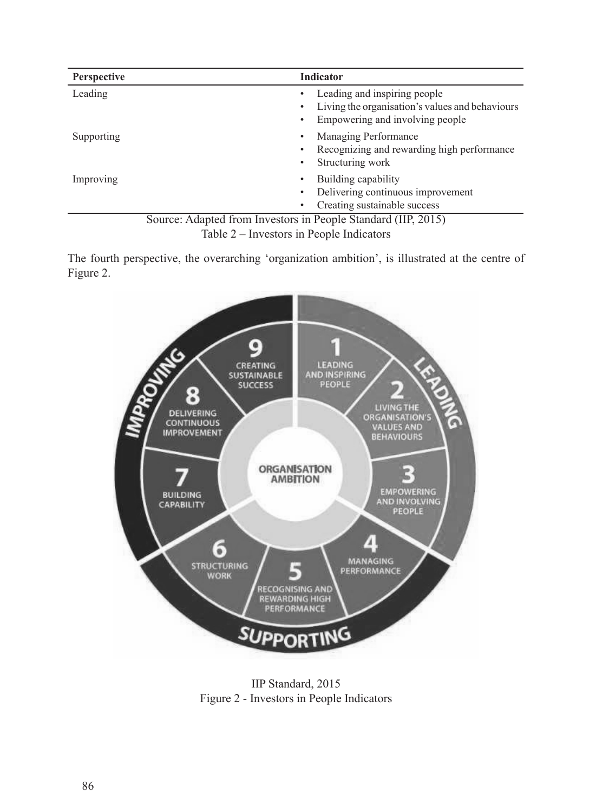| <b>Perspective</b>                                                      | <b>Indicator</b>                                                                                                        |  |  |  |  |  |
|-------------------------------------------------------------------------|-------------------------------------------------------------------------------------------------------------------------|--|--|--|--|--|
| Leading                                                                 | Leading and inspiring people<br>Living the organisation's values and behaviours<br>٠<br>Empowering and involving people |  |  |  |  |  |
| Supporting                                                              | Managing Performance<br>٠<br>Recognizing and rewarding high performance<br>٠<br>Structuring work<br>٠                   |  |  |  |  |  |
| Improving                                                               | Building capability<br>٠<br>Delivering continuous improvement<br>Creating sustainable success                           |  |  |  |  |  |
| $S_{\text{out}}$ , Adopted from Investors in Deeple Standard (IID 2015) |                                                                                                                         |  |  |  |  |  |



The fourth perspective, the overarching 'organization ambition', is illustrated at the centre of Figure 2.



IIP Standard, 2015 Figure 2 - Investors in People Indicators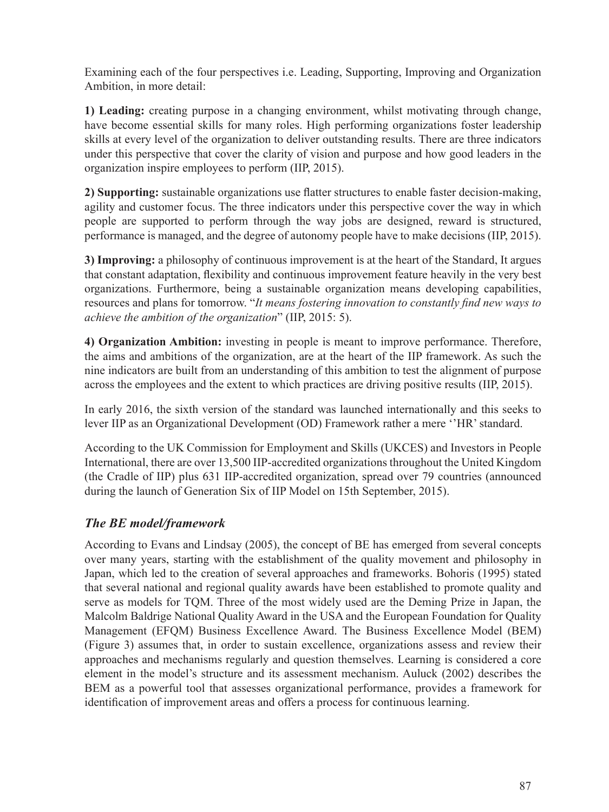Examining each of the four perspectives i.e. Leading, Supporting, Improving and Organization Ambition, in more detail:

**1) Leading:** creating purpose in a changing environment, whilst motivating through change, have become essential skills for many roles. High performing organizations foster leadership skills at every level of the organization to deliver outstanding results. There are three indicators under this perspective that cover the clarity of vision and purpose and how good leaders in the organization inspire employees to perform (IIP, 2015).

**2) Supporting:** sustainable organizations use flatter structures to enable faster decision-making, agility and customer focus. The three indicators under this perspective cover the way in which people are supported to perform through the way jobs are designed, reward is structured, performance is managed, and the degree of autonomy people have to make decisions (IIP, 2015).

**3) Improving:** a philosophy of continuous improvement is at the heart of the Standard, It argues that constant adaptation, flexibility and continuous improvement feature heavily in the very best organizations. Furthermore, being a sustainable organization means developing capabilities, resources and plans for tomorrow. "*It means fostering innovation to constantly find new ways to achieve the ambition of the organization*" (IIP, 2015: 5).

**4) Organization Ambition:** investing in people is meant to improve performance. Therefore, the aims and ambitions of the organization, are at the heart of the IIP framework. As such the nine indicators are built from an understanding of this ambition to test the alignment of purpose across the employees and the extent to which practices are driving positive results (IIP, 2015).

In early 2016, the sixth version of the standard was launched internationally and this seeks to lever IIP as an Organizational Development (OD) Framework rather a mere ''HR' standard.

According to the UK Commission for Employment and Skills (UKCES) and Investors in People International, there are over 13,500 IIP-accredited organizations throughout the United Kingdom (the Cradle of IIP) plus 631 IIP-accredited organization, spread over 79 countries (announced during the launch of Generation Six of IIP Model on 15th September, 2015).

#### *The BE model/framework*

According to Evans and Lindsay (2005), the concept of BE has emerged from several concepts over many years, starting with the establishment of the quality movement and philosophy in Japan, which led to the creation of several approaches and frameworks. Bohoris (1995) stated that several national and regional quality awards have been established to promote quality and serve as models for TQM. Three of the most widely used are the Deming Prize in Japan, the Malcolm Baldrige National Quality Award in the USA and the European Foundation for Quality Management (EFQM) Business Excellence Award. The Business Excellence Model (BEM) (Figure 3) assumes that, in order to sustain excellence, organizations assess and review their approaches and mechanisms regularly and question themselves. Learning is considered a core element in the model's structure and its assessment mechanism. Auluck (2002) describes the BEM as a powerful tool that assesses organizational performance, provides a framework for identification of improvement areas and offers a process for continuous learning.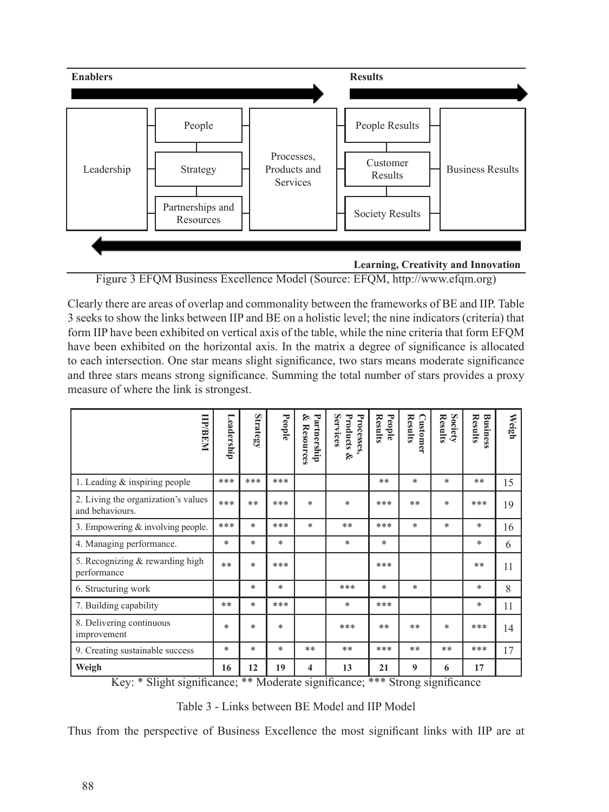

Figure 3 EFQM Business Excellence Model (Source: EFQM, http://www.efqm.org)

Clearly there are areas of overlap and commonality between the frameworks of BE and IIP. Table 3 seeks to show the links between IIP and BE on a holistic level; the nine indicators (criteria) that form IIP have been exhibited on vertical axis of the table, while the nine criteria that form EFQM have been exhibited on the horizontal axis. In the matrix a degree of significance is allocated to each intersection. One star means slight significance, two stars means moderate significance and three stars means strong significance. Summing the total number of stars provides a proxy measure of where the link is strongest.

| <b>IIIP/BEN</b>                                        | Leadership | <b>Strategy</b> | People | Partnership<br>۶<br><b>Resources</b> | Services<br>Processes,<br>Products<br>Š, | <b>Results</b><br>People | <b>Results</b><br>Customer | Society<br><b>Results</b> | <b>Results</b><br><b>Business</b> | Weigh |
|--------------------------------------------------------|------------|-----------------|--------|--------------------------------------|------------------------------------------|--------------------------|----------------------------|---------------------------|-----------------------------------|-------|
| 1. Leading $&$ inspiring people                        |            | ***             | ***    |                                      |                                          | $* *$                    | *                          | *                         | $* *$                             | 15    |
| 2. Living the organization's values<br>and behaviours. |            | **              | ***    | $\ast$                               | *                                        | ***                      | $* *$                      | $\ast$                    | ***                               | 19    |
| 3. Empowering $&$ involving people.                    | ***        | $\ast$          | ***    | $\ast$                               | **                                       | ***                      | *                          | *                         | $*$                               | 16    |
| 4. Managing performance.                               |            | $\ast$          | $\ast$ |                                      | *                                        | $\ast$                   |                            |                           | $\ast$                            | 6     |
| 5. Recognizing & rewarding high<br>performance         | **         | $\ast$          | ***    |                                      |                                          | ***                      |                            |                           | $* *$                             | 11    |
| 6. Structuring work                                    |            | $\ast$          | $\ast$ |                                      | ***                                      | *                        | *                          |                           | $\ast$                            | 8     |
| 7. Building capability                                 | **         | $\ast$          | ***    |                                      | *                                        | ***                      |                            |                           | $\ast$                            | 11    |
| 8. Delivering continuous<br>improvement                | *          | $\ast$          | $\ast$ |                                      | ***                                      | $* *$                    | $* *$                      | $\ast$                    | ***                               | 14    |
| 9. Creating sustainable success                        | *          | $\ast$          | $\ast$ | $* *$                                | $**$                                     | ***                      | $**$                       | **                        | ***                               | 17    |
| Weigh<br>1.7711774                                     | 16         | 12              | 19     | 4                                    | 13                                       | 21                       | $\boldsymbol{9}$           | 6                         | 17                                |       |

Key: \* Slight significance; \*\* Moderate significance; \*\*\* Strong significance

Table 3 - Links between BE Model and IIP Model

Thus from the perspective of Business Excellence the most significant links with IIP are at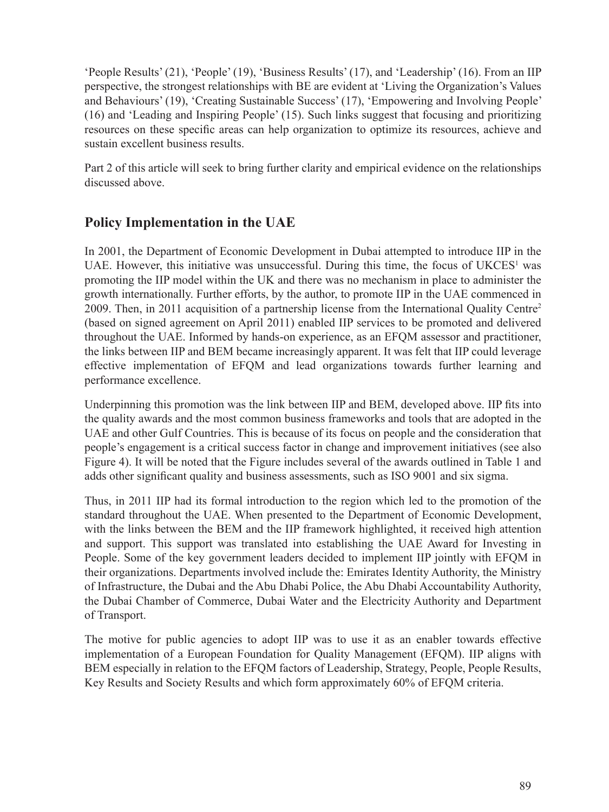'People Results' (21), 'People' (19), 'Business Results' (17), and 'Leadership' (16). From an IIP perspective, the strongest relationships with BE are evident at 'Living the Organization's Values and Behaviours' (19), 'Creating Sustainable Success' (17), 'Empowering and Involving People' (16) and 'Leading and Inspiring People' (15). Such links suggest that focusing and prioritizing resources on these specific areas can help organization to optimize its resources, achieve and sustain excellent business results.

Part 2 of this article will seek to bring further clarity and empirical evidence on the relationships discussed above.

# **Policy Implementation in the UAE**

In 2001, the Department of Economic Development in Dubai attempted to introduce IIP in the UAE. However, this initiative was unsuccessful. During this time, the focus of  $UKCES<sup>1</sup>$  was promoting the IIP model within the UK and there was no mechanism in place to administer the growth internationally. Further efforts, by the author, to promote IIP in the UAE commenced in 2009. Then, in 2011 acquisition of a partnership license from the International Quality Centre2 (based on signed agreement on April 2011) enabled IIP services to be promoted and delivered throughout the UAE. Informed by hands-on experience, as an EFQM assessor and practitioner, the links between IIP and BEM became increasingly apparent. It was felt that IIP could leverage effective implementation of EFQM and lead organizations towards further learning and performance excellence.

Underpinning this promotion was the link between IIP and BEM, developed above. IIP fits into the quality awards and the most common business frameworks and tools that are adopted in the UAE and other Gulf Countries. This is because of its focus on people and the consideration that people's engagement is a critical success factor in change and improvement initiatives (see also Figure 4). It will be noted that the Figure includes several of the awards outlined in Table 1 and adds other significant quality and business assessments, such as ISO 9001 and six sigma.

Thus, in 2011 IIP had its formal introduction to the region which led to the promotion of the standard throughout the UAE. When presented to the Department of Economic Development, with the links between the BEM and the IIP framework highlighted, it received high attention and support. This support was translated into establishing the UAE Award for Investing in People. Some of the key government leaders decided to implement IIP jointly with EFQM in their organizations. Departments involved include the: Emirates Identity Authority, the Ministry of Infrastructure, the Dubai and the Abu Dhabi Police, the Abu Dhabi Accountability Authority, the Dubai Chamber of Commerce, Dubai Water and the Electricity Authority and Department of Transport.

The motive for public agencies to adopt IIP was to use it as an enabler towards effective implementation of a European Foundation for Quality Management (EFQM). IIP aligns with BEM especially in relation to the EFQM factors of Leadership, Strategy, People, People Results, Key Results and Society Results and which form approximately 60% of EFQM criteria.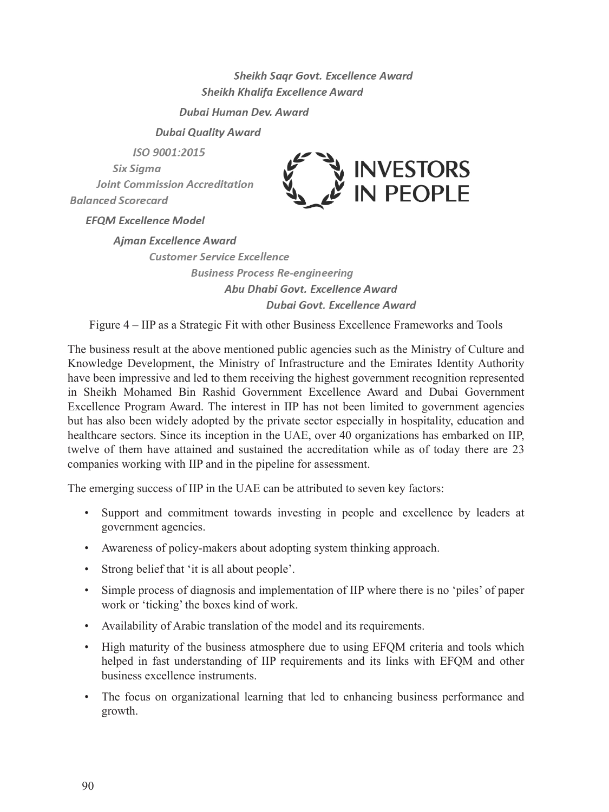Sheikh Sagr Govt. Excellence Award Sheikh Khalifa Excellence Award

Duhai Human Dev Award

**Dubai Quality Award** 

ISO 9001:2015 Six Siama **Joint Commission Accreditation Balanced Scorecard** 



**EFOM Excellence Model** 

**Aiman Excellence Award Customer Service Excellence Business Process Re-engineering** Abu Dhabi Govt, Excellence Award

Dubai Govt. Excellence Award

Figure 4 – IIP as a Strategic Fit with other Business Excellence Frameworks and Tools

The business result at the above mentioned public agencies such as the Ministry of Culture and Knowledge Development, the Ministry of Infrastructure and the Emirates Identity Authority have been impressive and led to them receiving the highest government recognition represented in Sheikh Mohamed Bin Rashid Government Excellence Award and Dubai Government Excellence Program Award. The interest in IIP has not been limited to government agencies but has also been widely adopted by the private sector especially in hospitality, education and healthcare sectors. Since its inception in the UAE, over 40 organizations has embarked on IIP, twelve of them have attained and sustained the accreditation while as of today there are 23 companies working with IIP and in the pipeline for assessment.

The emerging success of IIP in the UAE can be attributed to seven key factors:

- Support and commitment towards investing in people and excellence by leaders at government agencies.
- Awareness of policy-makers about adopting system thinking approach.
- Strong belief that 'it is all about people'.
- Simple process of diagnosis and implementation of IIP where there is no 'piles' of paper work or 'ticking' the boxes kind of work.
- Availability of Arabic translation of the model and its requirements.
- High maturity of the business atmosphere due to using EFQM criteria and tools which helped in fast understanding of IIP requirements and its links with EFQM and other business excellence instruments.
- The focus on organizational learning that led to enhancing business performance and growth.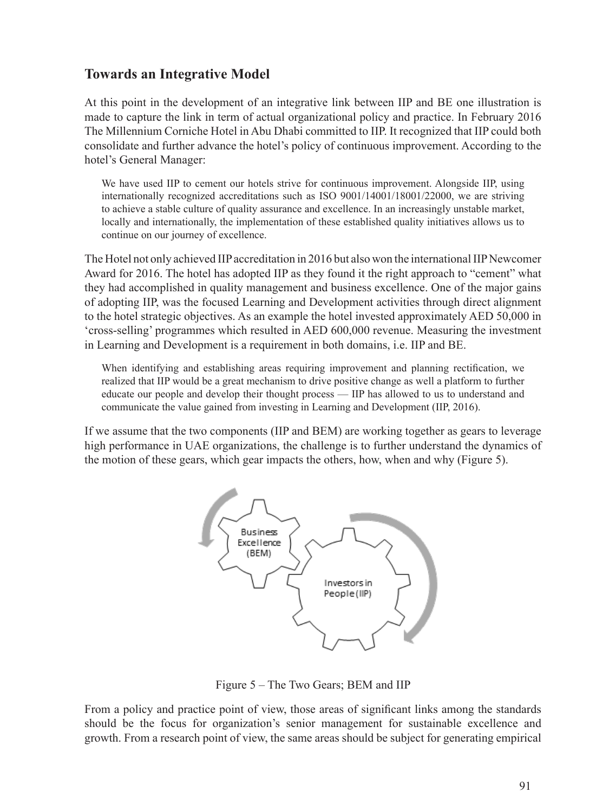# **Towards an Integrative Model**

At this point in the development of an integrative link between IIP and BE one illustration is made to capture the link in term of actual organizational policy and practice. In February 2016 The Millennium Corniche Hotel in Abu Dhabi committed to IIP. It recognized that IIP could both consolidate and further advance the hotel's policy of continuous improvement. According to the hotel's General Manager:

We have used IIP to cement our hotels strive for continuous improvement. Alongside IIP, using internationally recognized accreditations such as ISO 9001/14001/18001/22000, we are striving to achieve a stable culture of quality assurance and excellence. In an increasingly unstable market, locally and internationally, the implementation of these established quality initiatives allows us to continue on our journey of excellence.

The Hotel not only achieved IIP accreditation in 2016 but also won the international IIP Newcomer Award for 2016. The hotel has adopted IIP as they found it the right approach to "cement" what they had accomplished in quality management and business excellence. One of the major gains of adopting IIP, was the focused Learning and Development activities through direct alignment to the hotel strategic objectives. As an example the hotel invested approximately AED 50,000 in 'cross-selling' programmes which resulted in AED 600,000 revenue. Measuring the investment in Learning and Development is a requirement in both domains, i.e. IIP and BE.

When identifying and establishing areas requiring improvement and planning rectification, we realized that IIP would be a great mechanism to drive positive change as well a platform to further educate our people and develop their thought process — IIP has allowed to us to understand and communicate the value gained from investing in Learning and Development (IIP, 2016).

If we assume that the two components (IIP and BEM) are working together as gears to leverage high performance in UAE organizations, the challenge is to further understand the dynamics of the motion of these gears, which gear impacts the others, how, when and why (Figure 5).



Figure 5 – The Two Gears; BEM and IIP

From a policy and practice point of view, those areas of significant links among the standards should be the focus for organization's senior management for sustainable excellence and growth. From a research point of view, the same areas should be subject for generating empirical